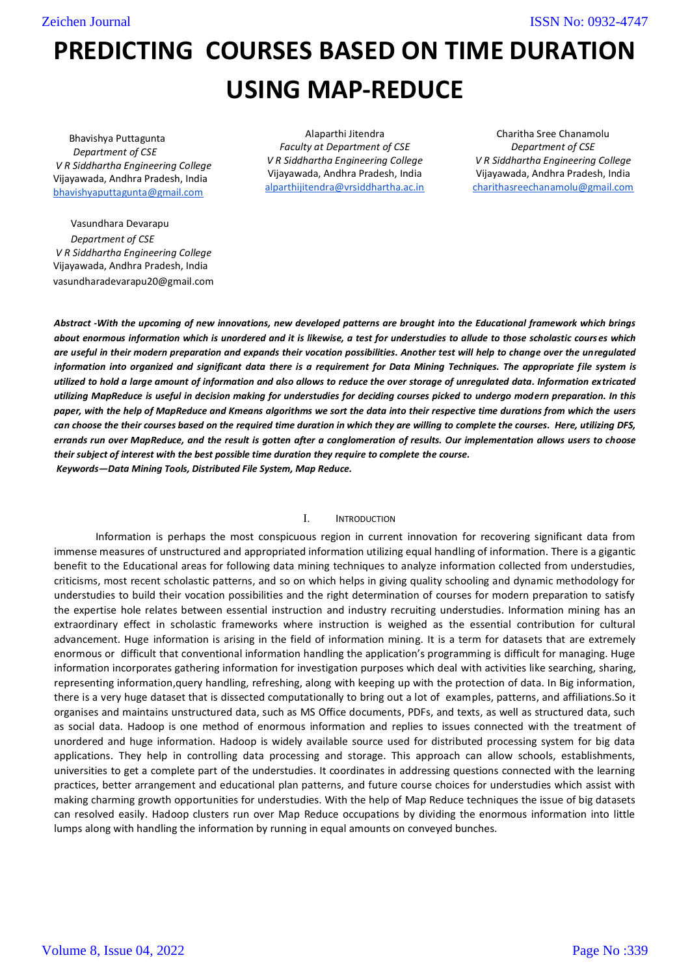Zeichen Journal

ISSN No: 0932-4747

# PREDICTING COURSES BASED ON TIME DURATION USING MAP-REDUCE

 Bhavishya Puttagunta Department of CSE V R Siddhartha Engineering College Vijayawada, Andhra Pradesh, India bhavishyaputtagunta@gmail.com

 Vasundhara Devarapu Department of CSE V R Siddhartha Engineering College Vijayawada, Andhra Pradesh, India vasundharadevarapu20@gmail.com

Alaparthi Jitendra Faculty at Department of CSE V R Siddhartha Engineering College Vijayawada, Andhra Pradesh, India alparthijitendra@vrsiddhartha.ac.in

Charitha Sree Chanamolu Department of CSE V R Siddhartha Engineering College Vijayawada, Andhra Pradesh, India charithasreechanamolu@gmail.com

Abstract -With the upcoming of new innovations, new developed patterns are brought into the Educational framework which brings about enormous information which is unordered and it is likewise, a test for understudies to allude to those scholastic courses which are useful in their modern preparation and expands their vocation possibilities. Another test will help to change over the unregulated information into organized and significant data there is a requirement for Data Mining Techniques. The appropriate file system is utilized to hold a large amount of information and also allows to reduce the over storage of unregulated data. Information extricated utilizing MapReduce is useful in decision making for understudies for deciding courses picked to undergo modern preparation. In this paper, with the help of MapReduce and Kmeans algorithms we sort the data into their respective time durations from which the users can choose the their courses based on the required time duration in which they are willing to complete the courses. Here, utilizing DFS, errands run over MapReduce, and the result is gotten after a conglomeration of results. Our implementation allows users to choose their subject of interest with the best possible time duration they require to complete the course. Keywords—Data Mining Tools, Distributed File System, Map Reduce.

## I. INTRODUCTION

Information is perhaps the most conspicuous region in current innovation for recovering significant data from immense measures of unstructured and appropriated information utilizing equal handling of information. There is a gigantic benefit to the Educational areas for following data mining techniques to analyze information collected from understudies, criticisms, most recent scholastic patterns, and so on which helps in giving quality schooling and dynamic methodology for understudies to build their vocation possibilities and the right determination of courses for modern preparation to satisfy the expertise hole relates between essential instruction and industry recruiting understudies. Information mining has an extraordinary effect in scholastic frameworks where instruction is weighed as the essential contribution for cultural advancement. Huge information is arising in the field of information mining. It is a term for datasets that are extremely enormous or difficult that conventional information handling the application's programming is difficult for managing. Huge information incorporates gathering information for investigation purposes which deal with activities like searching, sharing, representing information,query handling, refreshing, along with keeping up with the protection of data. In Big information, there is a very huge dataset that is dissected computationally to bring out a lot of examples, patterns, and affiliations.So it organises and maintains unstructured data, such as MS Office documents, PDFs, and texts, as well as structured data, such as social data. Hadoop is one method of enormous information and replies to issues connected with the treatment of unordered and huge information. Hadoop is widely available source used for distributed processing system for big data applications. They help in controlling data processing and storage. This approach can allow schools, establishments, universities to get a complete part of the understudies. It coordinates in addressing questions connected with the learning practices, better arrangement and educational plan patterns, and future course choices for understudies which assist with making charming growth opportunities for understudies. With the help of Map Reduce techniques the issue of big datasets can resolved easily. Hadoop clusters run over Map Reduce occupations by dividing the enormous information into little lumps along with handling the information by running in equal amounts on conveyed bunches.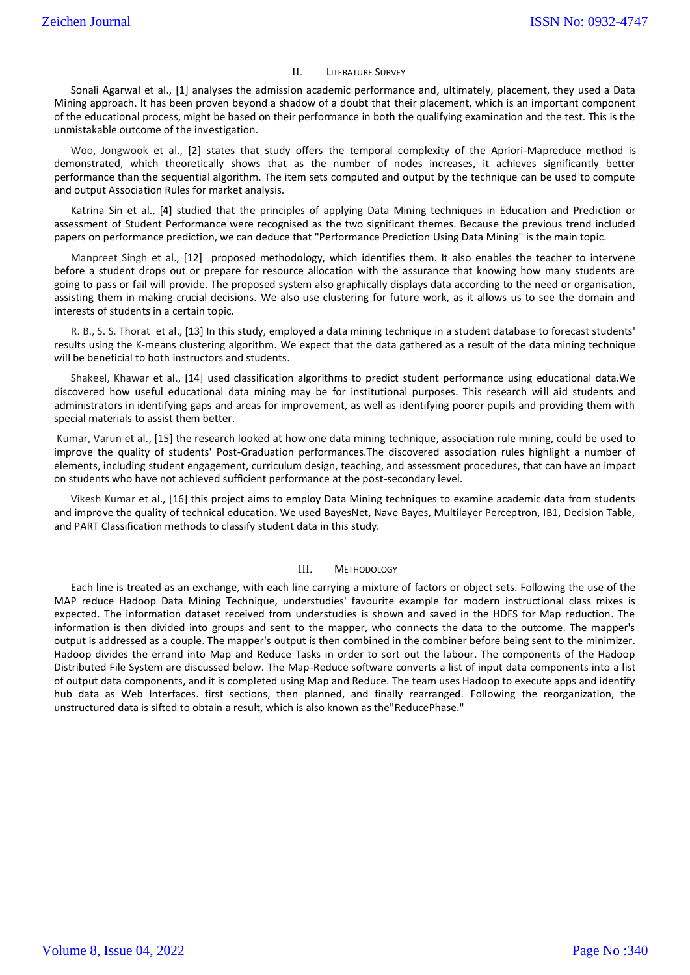## II. LITERATURE SURVEY

Sonali Agarwal et al., [1] analyses the admission academic performance and, ultimately, placement, they used a Data Mining approach. It has been proven beyond a shadow of a doubt that their placement, which is an important component of the educational process, might be based on their performance in both the qualifying examination and the test. This is the unmistakable outcome of the investigation.

Woo, Jongwook et al., [2] states that study offers the temporal complexity of the Apriori-Mapreduce method is demonstrated, which theoretically shows that as the number of nodes increases, it achieves significantly better performance than the sequential algorithm. The item sets computed and output by the technique can be used to compute and output Association Rules for market analysis.

Katrina Sin et al., [4] studied that the principles of applying Data Mining techniques in Education and Prediction or assessment of Student Performance were recognised as the two significant themes. Because the previous trend included papers on performance prediction, we can deduce that "Performance Prediction Using Data Mining" is the main topic.

Manpreet Singh et al., [12] proposed methodology, which identifies them. It also enables the teacher to intervene before a student drops out or prepare for resource allocation with the assurance that knowing how many students are going to pass or fail will provide. The proposed system also graphically displays data according to the need or organisation, assisting them in making crucial decisions. We also use clustering for future work, as it allows us to see the domain and interests of students in a certain topic.

R. B., S. S. Thorat et al., [13] In this study, employed a data mining technique in a student database to forecast students' results using the K-means clustering algorithm. We expect that the data gathered as a result of the data mining technique will be beneficial to both instructors and students.

Shakeel, Khawar et al., [14] used classification algorithms to predict student performance using educational data.We discovered how useful educational data mining may be for institutional purposes. This research will aid students and administrators in identifying gaps and areas for improvement, as well as identifying poorer pupils and providing them with special materials to assist them better.

Kumar, Varun et al., [15] the research looked at how one data mining technique, association rule mining, could be used to improve the quality of students' Post-Graduation performances.The discovered association rules highlight a number of elements, including student engagement, curriculum design, teaching, and assessment procedures, that can have an impact on students who have not achieved sufficient performance at the post-secondary level.

Vikesh Kumar et al., [16] this project aims to employ Data Mining techniques to examine academic data from students and improve the quality of technical education. We used BayesNet, Nave Bayes, Multilayer Perceptron, IB1, Decision Table, and PART Classification methods to classify student data in this study.

## III. METHODOLOGY

Each line is treated as an exchange, with each line carrying a mixture of factors or object sets. Following the use of the MAP reduce Hadoop Data Mining Technique, understudies' favourite example for modern instructional class mixes is expected. The information dataset received from understudies is shown and saved in the HDFS for Map reduction. The information is then divided into groups and sent to the mapper, who connects the data to the outcome. The mapper's output is addressed as a couple. The mapper's output is then combined in the combiner before being sent to the minimizer. Hadoop divides the errand into Map and Reduce Tasks in order to sort out the labour. The components of the Hadoop Distributed File System are discussed below. The Map-Reduce software converts a list of input data components into a list of output data components, and it is completed using Map and Reduce. The team uses Hadoop to execute apps and identify hub data as Web Interfaces. first sections, then planned, and finally rearranged. Following the reorganization, the unstructured data is sifted to obtain a result, which is also known as the"ReducePhase."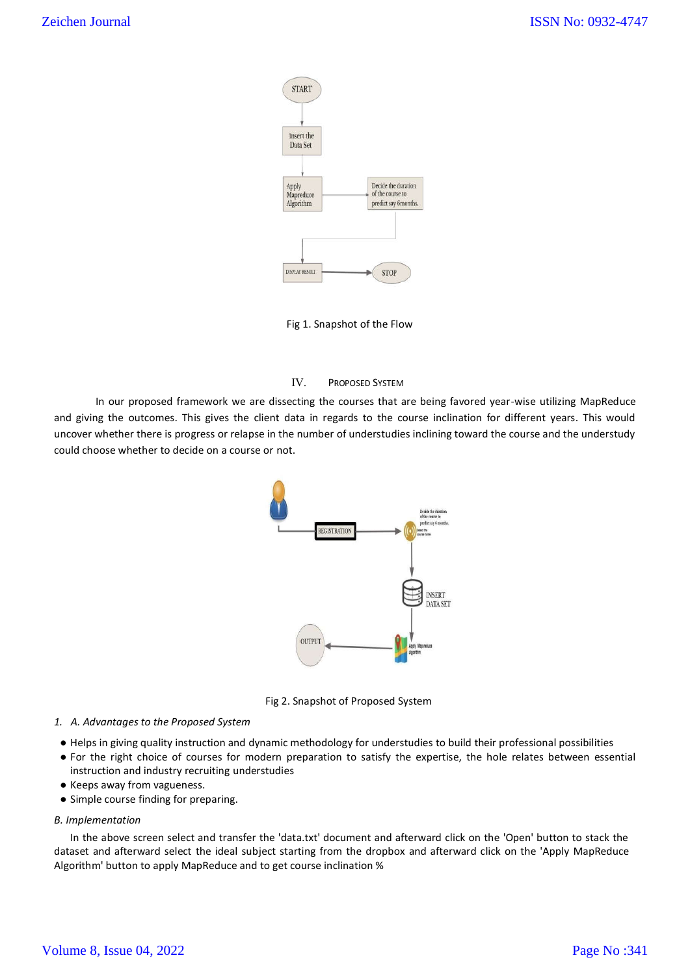

Fig 1. Snapshot of the Flow

# IV. PROPOSED SYSTEM

In our proposed framework we are dissecting the courses that are being favored year-wise utilizing MapReduce and giving the outcomes. This gives the client data in regards to the course inclination for different years. This would uncover whether there is progress or relapse in the number of understudies inclining toward the course and the understudy could choose whether to decide on a course or not.



Fig 2. Snapshot of Proposed System

## 1. A. Advantages to the Proposed System

- Helps in giving quality instruction and dynamic methodology for understudies to build their professional possibilities
- For the right choice of courses for modern preparation to satisfy the expertise, the hole relates between essential instruction and industry recruiting understudies
- Keeps away from vagueness.
- Simple course finding for preparing.

## B. Implementation

In the above screen select and transfer the 'data.txt' document and afterward click on the 'Open' button to stack the dataset and afterward select the ideal subject starting from the dropbox and afterward click on the 'Apply MapReduce Algorithm' button to apply MapReduce and to get course inclination %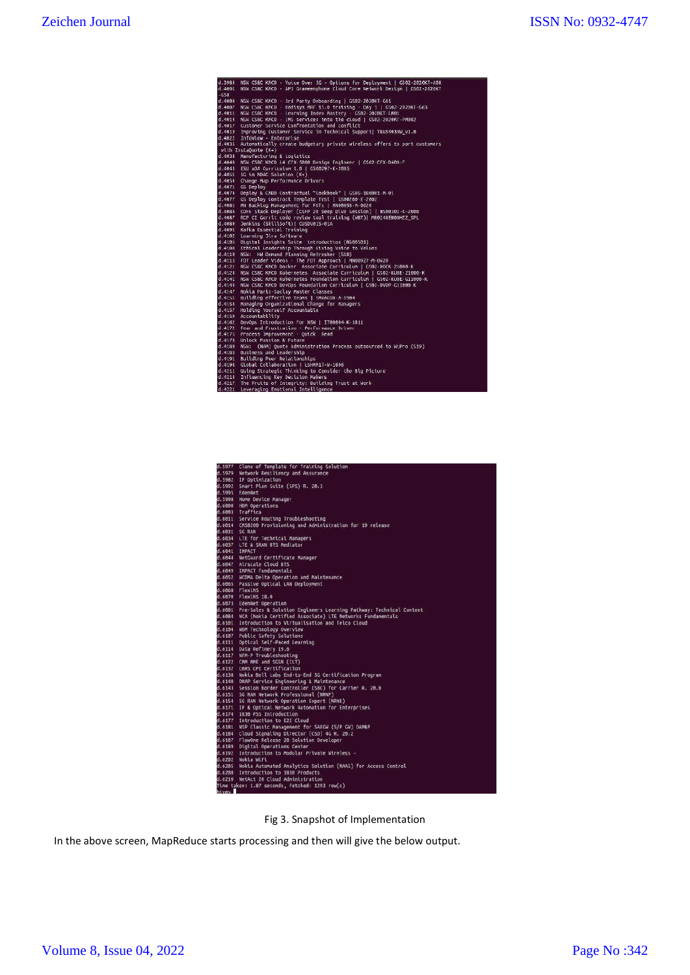| d.3984 | NSW CS&C KMCD - Voice Over 5G - Options for Deployment   CS02-2020KT-A08        |  |
|--------|---------------------------------------------------------------------------------|--|
| 0.4001 | NSW CSBC KMCD - APJ Graneenphone Cloud Core Network Design   GS02-2020KT        |  |
| $-658$ |                                                                                 |  |
|        | d.4004 NSW CS&C KMCD - 3rd Party Onboarding   GS02-2020KT-G61                   |  |
|        | d.4007 NSW CSBC KMCD - Radisys MRF 15.0 training - Day 1   GS02-2020KT-G63      |  |
|        | d.4011 NSW CSRC KMCD - Learning Index Mastery - GS02-2020KT-LM01                |  |
|        | d.4014 NSW CSBC KNCD - INS services into the cloud   GS02-2020KT-PN002          |  |
|        | d.4017 Customer Service Confrontation and Conflict                              |  |
|        | d.4019 Improving Custoner Service in Technical Support  TBUS4039W v1.0          |  |
|        | d.4022 InfoView - Enterprise                                                    |  |
|        | d.4035 Automatically create budgetary private wireless offers to port customers |  |
|        | with InstaGuote $(K+)$                                                          |  |
|        | d.4038 Manufacturing & Logistics                                                |  |
|        | d.4040 NSW CSBC KMCD L4 CFX-5000 Design Engineer   GS02-CFX-D400-F              |  |
|        | d.4043 ESU xDA Curriculum 1.0   GS00297-K-2005                                  |  |
|        | d.4051 5G in NDAC Solution (K+)                                                 |  |
|        | d.4054 Change Map Performance Drivers                                           |  |
|        | d.4071 GS Deploy                                                                |  |
|        | d.4074 Deploy & CMBD Contractual "Cookbook"   GS05-180001-M-01                  |  |
|        | d.4077 GS Deploy Contract Template Test   GS00260-E-2802                        |  |
|        | d.4081 MN Backlog Management for FOTs   MN00893-M-0620                          |  |
|        | d.4084 CDFE Stack Deployer (CSFP 20 Deep Dive Session)   NS60301-K-2000         |  |
|        | d.4087 RCP CI Gerrit code review tool training (WBT)  MBB248ENDBHZZ SPL         |  |
|        | d.4089 Jenkins (SkillSoft)  CUSDV015-01A                                        |  |
|        | d.4092 Kafka Essential Training                                                 |  |
|        | d.4102 Learning Jira Software                                                   |  |
|        | d.4105 Digital Insights Suite introduction (NS00501)                            |  |
|        | d.4108 Ethical Leadership Through Giving Voice to Values                        |  |
|        | d.4110 NSW: HW Denand Planning Refresher (S18)                                  |  |
|        | d.4113 FOT Leader Videos - The FOT Approach   MN00927-M-8620                    |  |
|        | d.4121 NSW CSRC KMCD Docker Associate Curriculum   GS02-DOCK-21000-K            |  |
|        | d.4124 NSW CS&C KMCD Kubernetes Associate Curriculum   GS02-KUBE-21000-K        |  |
|        | d.4141 NSW CS&C KMCD Kubernetes Foundation Curriculum   GS02-KUBE-G11000-K      |  |
|        | d.4144 NSW CS&C KMCD DevOps Foundation Curriculum   GS02-DVOP-G11000-K          |  |
|        | d.4147 Nokia Paris-Saclay Master Classes                                        |  |
|        | d.4151 Building effective teams   SMAACOD-M-1904                                |  |
|        | d.4154 Managing Organizational Change for Managers                              |  |
|        | d.4157 Holding Yourself Accountable                                             |  |
|        | d.4159 Accountability                                                           |  |
|        | d.4162 DevOps Introduction for NSW   IT00064-K-1811                             |  |
|        | d.4172 Fear and Frustration - Performance Driver                                |  |
|        | d.4175 Process Improvement - Ouick Read                                         |  |
|        | d.4178 Unlock Passion & Future                                                  |  |
|        | d.4180 NSW: (NAM) Quote Administration Process outsourced to WiPro (519)        |  |
|        | d.4183 Business and Leadership                                                  |  |
|        | d.4191 Building Peer Relationships                                              |  |
|        | d.4194 Global Collaboration   LSHMM17-W-1886                                    |  |
|        | d.4211 Using Strategic Thinking to Consider the Big Picture                     |  |
|        | d.4214 Influencing Key Decision Makers                                          |  |
|        | d.4217 The Fruits of Integrity: Building Trust at Work                          |  |
|        | d.4221 Leveraging Enotional Intelligence                                        |  |

|               | d.5977 Clone of Template for Training Solution                                                        |
|---------------|-------------------------------------------------------------------------------------------------------|
|               | d.5979 Network Resiliency and Assurance                                                               |
|               | d.5982 IP Optimization                                                                                |
|               | d.5992 Smart Plan Suite (SPS) R. 20.3                                                                 |
|               | d.5995 EdenNet                                                                                        |
|               | d.5998 Home Device Manager                                                                            |
|               | d.6000 HDM Operations                                                                                 |
|               | d.6003 Traffica                                                                                       |
|               | d.6011 Service Routing Troubleshooting                                                                |
|               | d.6014 CM58200 Provisioning and Administration for 19 release                                         |
| d.6031 5G RAN |                                                                                                       |
|               | d.6034 LTE for Technical Managers                                                                     |
|               | d.6037 LTE & SRAN BTS Mediator                                                                        |
| d.6041 IMPACT |                                                                                                       |
|               | d.6044 NetGuard Certificate Manager                                                                   |
|               | d.6047 Airscale Cloud BTS                                                                             |
|               | d.6049 IMPACT Fundamentals                                                                            |
|               | d.6052 WCDMA Delta Operation and Maintenance                                                          |
|               | d.6665 Passive Optical LAN Deployment                                                                 |
|               | d.6068 FlexiNS                                                                                        |
|               | d.6070 Flexins 18.6                                                                                   |
|               | d.6073 EdenNet Operation<br>d.6081 Pre-Sales & Solution Engineers Learning Pathway: Technical Content |
|               | d.6084 NCA (Nokia Certified Associate) LTE Networks Fundamentals                                      |
|               | d.6101 Introduction to Virtualisation and Telco Cloud                                                 |
|               | d.6104 WDM Technology Overview                                                                        |
|               | d.6107 Public Safety Solutions                                                                        |
|               | d.6111 Optical Self-Paced Learning                                                                    |
|               | d.6114 Data Refinery 19.6                                                                             |
|               | d.6117 NFM-P Troubleshooting                                                                          |
|               | d.6122 CMM MME and SGSN (ILT)                                                                         |
|               | d.6132 CBRS CPI Certification                                                                         |
|               | d.6138 Nokia Bell Labs End-to-End SG Certification Program                                            |
|               | d.6140 ONAP Service Engineering & Maintenance                                                         |
|               | d.6143 Session Border Controller (SBC) for Carrier R. 20.0                                            |
|               | d.6151 5G RAN Network Professional (NRNP)                                                             |
|               | d.6154 5G RAN Network Operation Expert (NRNE)                                                         |
|               | d.6171 IP & Optical Network Automation for Enterprises                                                |
|               | d.6174 1830 P55 Introduction                                                                          |
|               | d.6177 Introduction to E2E Cloud                                                                      |
|               | d.6181 NSP Classic Management for SAEGW (S/P GW) OAM&P                                                |
|               | d.6184 Cloud Signaling Director (CSD) 4G R. 20.2                                                      |
|               | d.6187 FlowOne Release 20 Solution Developer                                                          |
|               | d.6189 Digital Operations Center                                                                      |
|               | d.6192 Introduction to Modular Private Wireless -                                                     |
|               | d.6202 Nokia WiFi                                                                                     |
|               | d.6205 Nokia Automated Analytics Solution (NAAS) for Access Control                                   |
|               | d.6208 Introduction to 1830 Products                                                                  |
|               | d.6210 NetAct 20 Cloud Administration                                                                 |
| hive>         | Time taken: 1.87 seconds, Fetched: 1293 row(s)                                                        |
|               |                                                                                                       |



In the above screen, MapReduce starts processing and then will give the below output.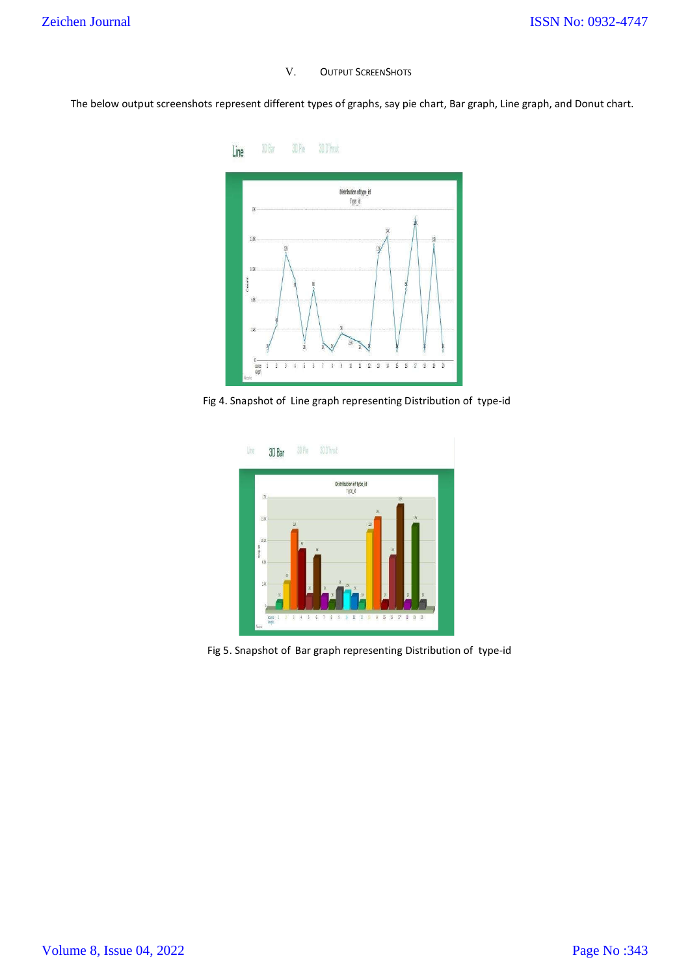V. OUTPUT SCREENSHOTS

The below output screenshots represent different types of graphs, say pie chart, Bar graph, Line graph, and Donut chart.



Fig 4. Snapshot of Line graph representing Distribution of type-id



Fig 5. Snapshot of Bar graph representing Distribution of type-id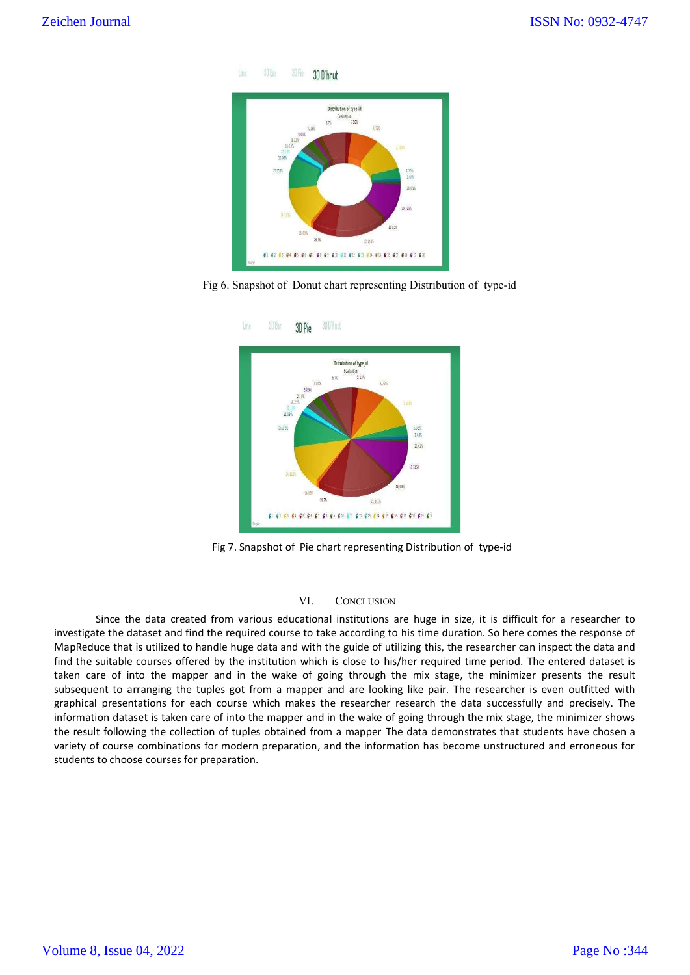



Fig 6. Snapshot of Donut chart representing Distribution of type-id



Fig 7. Snapshot of Pie chart representing Distribution of type-id

## VI. CONCLUSION

Since the data created from various educational institutions are huge in size, it is difficult for a researcher to investigate the dataset and find the required course to take according to his time duration. So here comes the response of MapReduce that is utilized to handle huge data and with the guide of utilizing this, the researcher can inspect the data and find the suitable courses offered by the institution which is close to his/her required time period. The entered dataset is taken care of into the mapper and in the wake of going through the mix stage, the minimizer presents the result subsequent to arranging the tuples got from a mapper and are looking like pair. The researcher is even outfitted with graphical presentations for each course which makes the researcher research the data successfully and precisely. The information dataset is taken care of into the mapper and in the wake of going through the mix stage, the minimizer shows the result following the collection of tuples obtained from a mapper The data demonstrates that students have chosen a variety of course combinations for modern preparation, and the information has become unstructured and erroneous for students to choose courses for preparation.